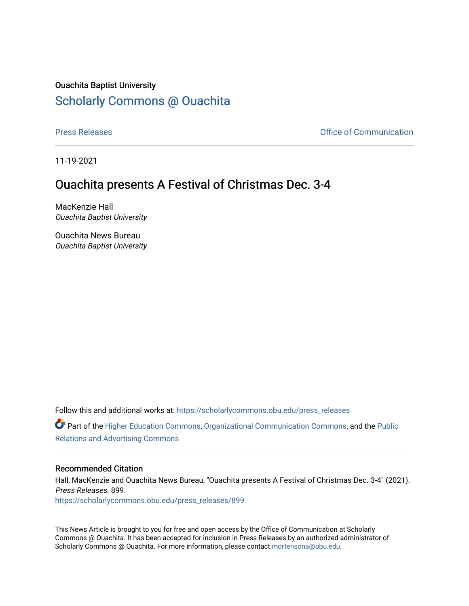## Ouachita Baptist University [Scholarly Commons @ Ouachita](https://scholarlycommons.obu.edu/)

[Press Releases](https://scholarlycommons.obu.edu/press_releases) **Press Releases Communication** 

11-19-2021

## Ouachita presents A Festival of Christmas Dec. 3-4

MacKenzie Hall Ouachita Baptist University

Ouachita News Bureau Ouachita Baptist University

Follow this and additional works at: [https://scholarlycommons.obu.edu/press\\_releases](https://scholarlycommons.obu.edu/press_releases?utm_source=scholarlycommons.obu.edu%2Fpress_releases%2F899&utm_medium=PDF&utm_campaign=PDFCoverPages)

Part of the [Higher Education Commons,](http://network.bepress.com/hgg/discipline/1245?utm_source=scholarlycommons.obu.edu%2Fpress_releases%2F899&utm_medium=PDF&utm_campaign=PDFCoverPages) [Organizational Communication Commons,](http://network.bepress.com/hgg/discipline/335?utm_source=scholarlycommons.obu.edu%2Fpress_releases%2F899&utm_medium=PDF&utm_campaign=PDFCoverPages) and the [Public](http://network.bepress.com/hgg/discipline/336?utm_source=scholarlycommons.obu.edu%2Fpress_releases%2F899&utm_medium=PDF&utm_campaign=PDFCoverPages) [Relations and Advertising Commons](http://network.bepress.com/hgg/discipline/336?utm_source=scholarlycommons.obu.edu%2Fpress_releases%2F899&utm_medium=PDF&utm_campaign=PDFCoverPages) 

## Recommended Citation

Hall, MacKenzie and Ouachita News Bureau, "Ouachita presents A Festival of Christmas Dec. 3-4" (2021). Press Releases. 899. [https://scholarlycommons.obu.edu/press\\_releases/899](https://scholarlycommons.obu.edu/press_releases/899?utm_source=scholarlycommons.obu.edu%2Fpress_releases%2F899&utm_medium=PDF&utm_campaign=PDFCoverPages)

This News Article is brought to you for free and open access by the Office of Communication at Scholarly Commons @ Ouachita. It has been accepted for inclusion in Press Releases by an authorized administrator of Scholarly Commons @ Ouachita. For more information, please contact [mortensona@obu.edu](mailto:mortensona@obu.edu).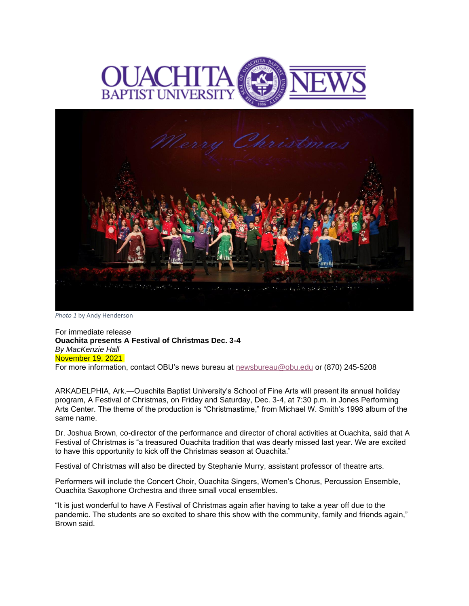



*Photo 1* by Andy Henderson

For immediate release **Ouachita presents A Festival of Christmas Dec. 3-4** *By MacKenzie Hall* November 19, 2021 For more information, contact OBU's news bureau at [newsbureau@obu.edu](mailto:newsbureau@obu.edu) or (870) 245-5208

ARKADELPHIA, Ark.—Ouachita Baptist University's School of Fine Arts will present its annual holiday program, A Festival of Christmas, on Friday and Saturday, Dec. 3-4, at 7:30 p.m. in Jones Performing Arts Center. The theme of the production is "Christmastime," from Michael W. Smith's 1998 album of the same name.

Dr. Joshua Brown, co-director of the performance and director of choral activities at Ouachita, said that A Festival of Christmas is "a treasured Ouachita tradition that was dearly missed last year. We are excited to have this opportunity to kick off the Christmas season at Ouachita."

Festival of Christmas will also be directed by Stephanie Murry, assistant professor of theatre arts.

Performers will include the Concert Choir, Ouachita Singers, Women's Chorus, Percussion Ensemble, Ouachita Saxophone Orchestra and three small vocal ensembles.

"It is just wonderful to have A Festival of Christmas again after having to take a year off due to the pandemic. The students are so excited to share this show with the community, family and friends again," Brown said.